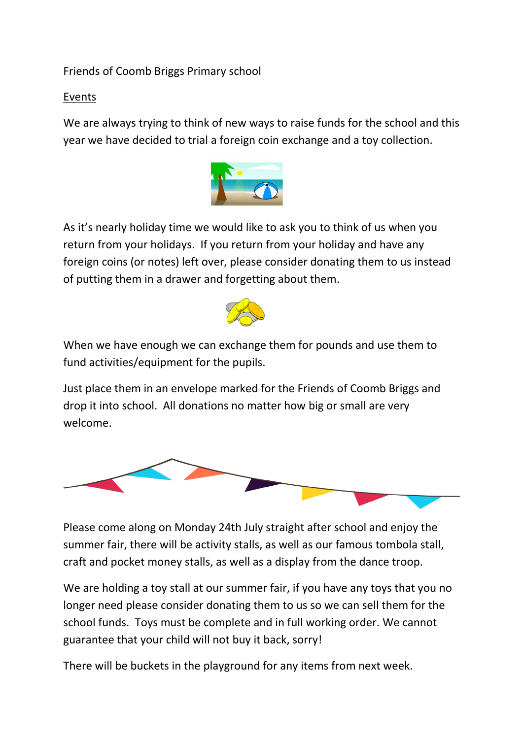## Friends of Coomb Briggs Primary school

## Events

We are always trying to think of new ways to raise funds for the school and this year we have decided to trial a foreign coin exchange and a toy collection.



As it's nearly holiday time we would like to ask you to think of us when you return from your holidays. If you return from your holiday and have any foreign coins (or notes) left over, please consider donating them to us instead of putting them in a drawer and forgetting about them.



When we have enough we can exchange them for pounds and use them to fund activities/equipment for the pupils.

Just place them in an envelope marked for the Friends of Coomb Briggs and drop it into school. All donations no matter how big or small are very welcome.



Please come along on Monday 24th July straight after school and enjoy the summer fair, there will be activity stalls, as well as our famous tombola stall, craft and pocket money stalls, as well as a display from the dance troop.

We are holding a toy stall at our summer fair, if you have any toys that you no longer need please consider donating them to us so we can sell them for the school funds. Toys must be complete and in full working order. We cannot guarantee that your child will not buy it back, sorry!

There will be buckets in the playground for any items from next week.